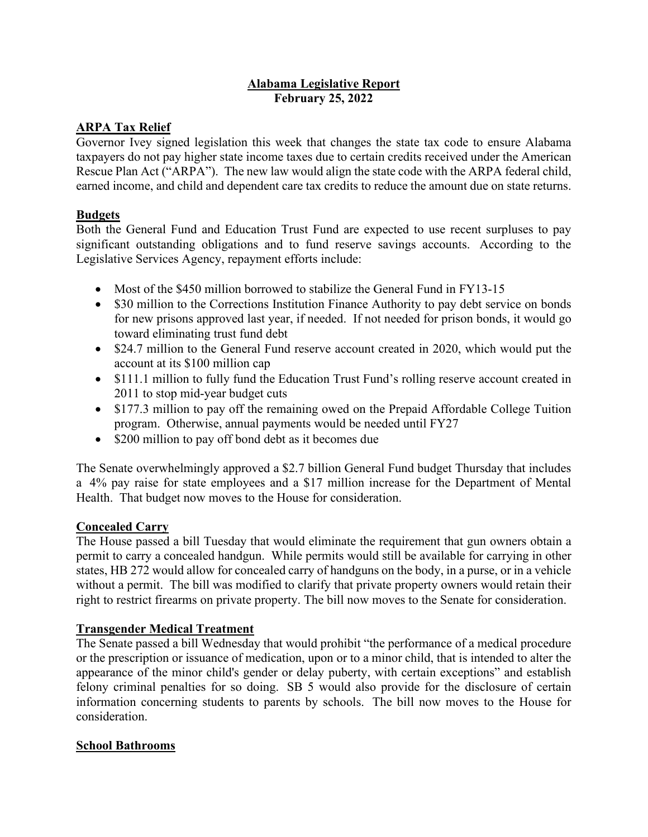### **Alabama Legislative Report February 25, 2022**

## **ARPA Tax Relief**

Governor Ivey signed legislation this week that changes the state tax code to ensure Alabama taxpayers do not pay higher state income taxes due to certain credits received under the American Rescue Plan Act ("ARPA"). The new law would align the state code with the ARPA federal child, earned income, and child and dependent care tax credits to reduce the amount due on state returns.

## **Budgets**

Both the General Fund and Education Trust Fund are expected to use recent surpluses to pay significant outstanding obligations and to fund reserve savings accounts. According to the Legislative Services Agency, repayment efforts include:

- Most of the \$450 million borrowed to stabilize the General Fund in FY13-15
- \$30 million to the Corrections Institution Finance Authority to pay debt service on bonds for new prisons approved last year, if needed. If not needed for prison bonds, it would go toward eliminating trust fund debt
- \$24.7 million to the General Fund reserve account created in 2020, which would put the account at its \$100 million cap
- \$111.1 million to fully fund the Education Trust Fund's rolling reserve account created in 2011 to stop mid-year budget cuts
- \$177.3 million to pay off the remaining owed on the Prepaid Affordable College Tuition program. Otherwise, annual payments would be needed until FY27
- \$200 million to pay off bond debt as it becomes due

The Senate overwhelmingly approved a \$2.7 billion General Fund budget Thursday that includes a 4% pay raise for state employees and a \$17 million increase for the Department of Mental Health. That budget now moves to the House for consideration.

## **Concealed Carry**

The House passed a bill Tuesday that would eliminate the requirement that gun owners obtain a permit to carry a concealed handgun. While permits would still be available for carrying in other states, HB 272 would allow for concealed carry of handguns on the body, in a purse, or in a vehicle without a permit. The bill was modified to clarify that private property owners would retain their right to restrict firearms on private property. The bill now moves to the Senate for consideration.

## **Transgender Medical Treatment**

The Senate passed a bill Wednesday that would prohibit "the performance of a medical procedure or the prescription or issuance of medication, upon or to a minor child, that is intended to alter the appearance of the minor child's gender or delay puberty, with certain exceptions" and establish felony criminal penalties for so doing. SB 5 would also provide for the disclosure of certain information concerning students to parents by schools. The bill now moves to the House for consideration.

## **School Bathrooms**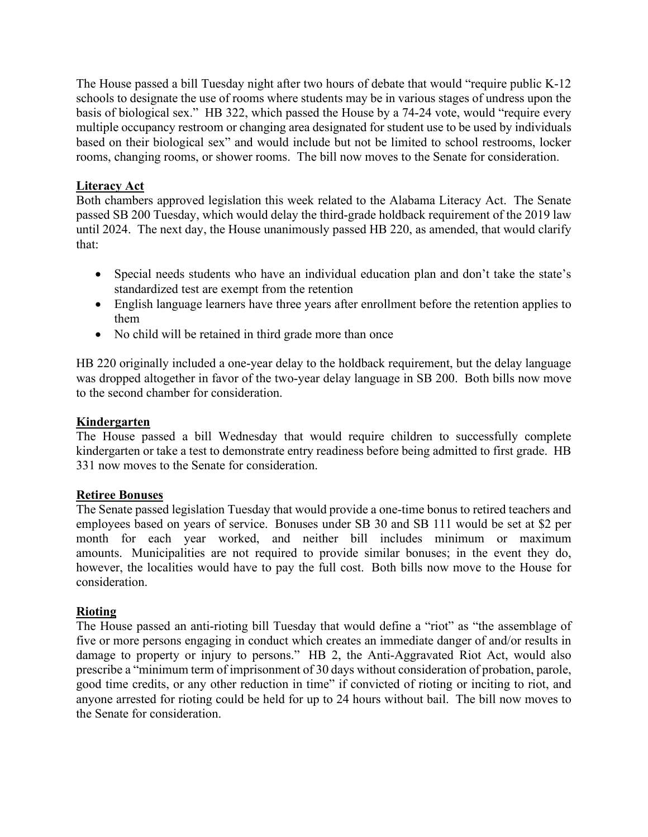The House passed a bill Tuesday night after two hours of debate that would "require public K-12 schools to designate the use of rooms where students may be in various stages of undress upon the basis of biological sex." HB 322, which passed the House by a 74-24 vote, would "require every multiple occupancy restroom or changing area designated for student use to be used by individuals based on their biological sex" and would include but not be limited to school restrooms, locker rooms, changing rooms, or shower rooms. The bill now moves to the Senate for consideration.

### **Literacy Act**

Both chambers approved legislation this week related to the Alabama Literacy Act. The Senate passed SB 200 Tuesday, which would delay the third-grade holdback requirement of the 2019 law until 2024. The next day, the House unanimously passed HB 220, as amended, that would clarify that:

- Special needs students who have an individual education plan and don't take the state's standardized test are exempt from the retention
- English language learners have three years after enrollment before the retention applies to them
- No child will be retained in third grade more than once

HB 220 originally included a one-year delay to the holdback requirement, but the delay language was dropped altogether in favor of the two-year delay language in SB 200. Both bills now move to the second chamber for consideration.

#### **Kindergarten**

The House passed a bill Wednesday that would require children to successfully complete kindergarten or take a test to demonstrate entry readiness before being admitted to first grade. HB 331 now moves to the Senate for consideration.

#### **Retiree Bonuses**

The Senate passed legislation Tuesday that would provide a one-time bonus to retired teachers and employees based on years of service. Bonuses under SB 30 and SB 111 would be set at \$2 per month for each year worked, and neither bill includes minimum or maximum amounts. Municipalities are not required to provide similar bonuses; in the event they do, however, the localities would have to pay the full cost. Both bills now move to the House for consideration.

#### **Rioting**

The House passed an anti-rioting bill Tuesday that would define a "riot" as "the assemblage of five or more persons engaging in conduct which creates an immediate danger of and/or results in damage to property or injury to persons." HB 2, the Anti-Aggravated Riot Act, would also prescribe a "minimum term of imprisonment of 30 days without consideration of probation, parole, good time credits, or any other reduction in time" if convicted of rioting or inciting to riot, and anyone arrested for rioting could be held for up to 24 hours without bail. The bill now moves to the Senate for consideration.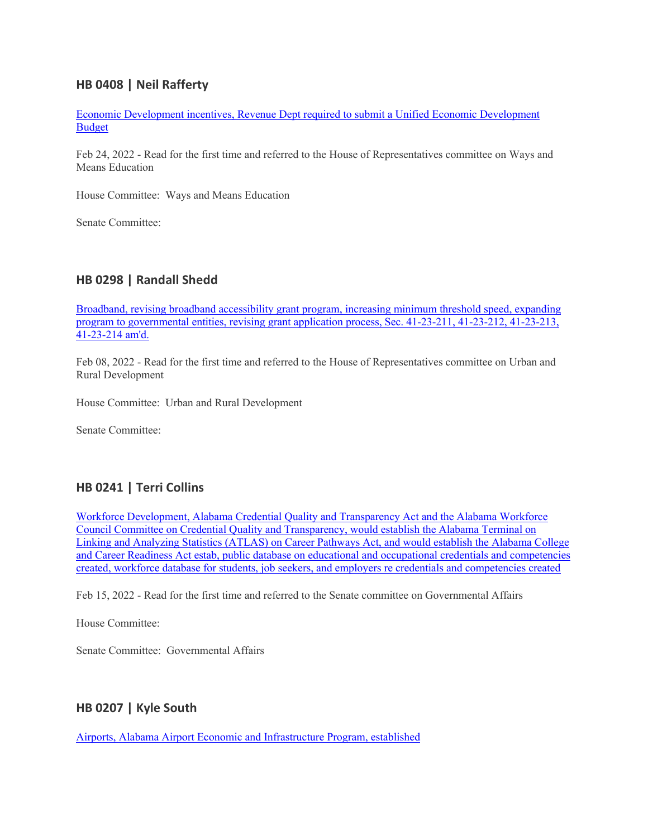## **HB 0408 | Neil Rafferty**

[Economic Development incentives, Revenue Dept required to submit a Unified Economic Development](https://url.emailprotection.link/?b0QGU3B_5tacyZVmMzgbk9LKyg-LGHXbrFOBIDa8_x9HqzlhfzqkH8AoqLx-2IFnkJUdjPV4-tBgJ-u5vDur_EnvcUGYTHIMZxD7jrEvaegihF9wyDjc58uehwU7f14BHwrMzG33DkRMESVZ5MZ8PFzOxrIkSVzup1vqdoJjKp5AAuAbFnnRoTr4fG17y7hEUUTpk8Km3kpSz8El4sBwjG4s6hoXzDHQNf90lwrZbCRddJrdiuwVNhlABsfB0zX4sU9B-OOGsONsy2wQRBtjDv_fZ1hneDnPi7wNhLDycTp_2LxHegSj8RoZTS9fRRQ9OKWsp5ElAAiJl4qkAvk9UKe-RupCn034IpMTx2SRcKu361HL0VSWVCiH6RckQKvh9trC8V5nhVFUvT1tYiMzjhWpVImYWQuX7aAVK36esGkBSGuPA29ogatvuwcKwvo2gm1eiudXWGVKhmMS1fgt4fXdQ603xF5EYXPfWYmyJqPuT4idPiUCxN0erV-XklhkM0RDeri7cVxnXs5h1LHvhmgv8cYvxPsAMEOtYrNNN4V5dc1-s2qH7A8DR4q0CaUOZ3WbsDTTjyfAO3cLDOukog1ybPG8ZPDC2vf3vscZeKv199hUtFEz2kc_8_Cs2oPxQ)  [Budget](https://url.emailprotection.link/?b0QGU3B_5tacyZVmMzgbk9LKyg-LGHXbrFOBIDa8_x9HqzlhfzqkH8AoqLx-2IFnkJUdjPV4-tBgJ-u5vDur_EnvcUGYTHIMZxD7jrEvaegihF9wyDjc58uehwU7f14BHwrMzG33DkRMESVZ5MZ8PFzOxrIkSVzup1vqdoJjKp5AAuAbFnnRoTr4fG17y7hEUUTpk8Km3kpSz8El4sBwjG4s6hoXzDHQNf90lwrZbCRddJrdiuwVNhlABsfB0zX4sU9B-OOGsONsy2wQRBtjDv_fZ1hneDnPi7wNhLDycTp_2LxHegSj8RoZTS9fRRQ9OKWsp5ElAAiJl4qkAvk9UKe-RupCn034IpMTx2SRcKu361HL0VSWVCiH6RckQKvh9trC8V5nhVFUvT1tYiMzjhWpVImYWQuX7aAVK36esGkBSGuPA29ogatvuwcKwvo2gm1eiudXWGVKhmMS1fgt4fXdQ603xF5EYXPfWYmyJqPuT4idPiUCxN0erV-XklhkM0RDeri7cVxnXs5h1LHvhmgv8cYvxPsAMEOtYrNNN4V5dc1-s2qH7A8DR4q0CaUOZ3WbsDTTjyfAO3cLDOukog1ybPG8ZPDC2vf3vscZeKv199hUtFEz2kc_8_Cs2oPxQ)

Feb 24, 2022 - Read for the first time and referred to the House of Representatives committee on Ways and Means Education

House Committee: Ways and Means Education

Senate Committee:

### **HB 0298 | Randall Shedd**

[Broadband, revising broadband accessibility grant program, increasing minimum threshold speed, expanding](https://url.emailprotection.link/?b9Iv5DQgHgM7Oq4K-403e0WG5YpXXNTmi6D5Gk0MDhxekNvfqnVe1zPHnRTAMMVK7E2mbyjQQuA3udIG7yGYcDm7dow95mS5FHw0Pa2b8DLshR2ElvpddcmghgvRmmxoZW1c63XF4WAGmP3pJWenmKO1ROz9YcPT3-IxxuVPEY262zc6id3hT3z65TkKvEM96lbaULLZ8SiVFSYXxIVihJC2CfvkTxNKtlKB1Ecxigs9yZj5Y4O9cFPDkis93ltRgOeOjG6HtTf340pAsi6XPXlC8NG1TkhKuxukVvvWW9UVuvPn8pkRt8RsLXq7bNdseDlX0mC_AUZvJ3CdIPo9uE3RfZEAdc1QkM5p9ACwEQi0xF0boUcZYZeCBY534mF09MBhrgrwqZMkBoYyTVx8fcKFdqlv303UCz7-h24ZPKX2vA6U3tMLtR9GWkafktJ8z-Jryx0YeZG9B9SaDnUQuEu_zt7QzG0M_fekQxa_dVH-5EACFyoK0KDoD_fVH-OVJipYY9Ln7PtIYSd9uG6-cNVF7i5Nb6FfeJ_X9S6V9K72XW2GXG0uGUmAoP6OAmps1yGNAt7K7N19Q4QAFW52rbWslhDZExdcODAG_CEB1FMaWCtz4WM3NGrM4-fy0Nk8-)  [program to governmental entities, revising grant application process, Sec. 41-23-211, 41-23-212, 41-23-213,](https://url.emailprotection.link/?b9Iv5DQgHgM7Oq4K-403e0WG5YpXXNTmi6D5Gk0MDhxekNvfqnVe1zPHnRTAMMVK7E2mbyjQQuA3udIG7yGYcDm7dow95mS5FHw0Pa2b8DLshR2ElvpddcmghgvRmmxoZW1c63XF4WAGmP3pJWenmKO1ROz9YcPT3-IxxuVPEY262zc6id3hT3z65TkKvEM96lbaULLZ8SiVFSYXxIVihJC2CfvkTxNKtlKB1Ecxigs9yZj5Y4O9cFPDkis93ltRgOeOjG6HtTf340pAsi6XPXlC8NG1TkhKuxukVvvWW9UVuvPn8pkRt8RsLXq7bNdseDlX0mC_AUZvJ3CdIPo9uE3RfZEAdc1QkM5p9ACwEQi0xF0boUcZYZeCBY534mF09MBhrgrwqZMkBoYyTVx8fcKFdqlv303UCz7-h24ZPKX2vA6U3tMLtR9GWkafktJ8z-Jryx0YeZG9B9SaDnUQuEu_zt7QzG0M_fekQxa_dVH-5EACFyoK0KDoD_fVH-OVJipYY9Ln7PtIYSd9uG6-cNVF7i5Nb6FfeJ_X9S6V9K72XW2GXG0uGUmAoP6OAmps1yGNAt7K7N19Q4QAFW52rbWslhDZExdcODAG_CEB1FMaWCtz4WM3NGrM4-fy0Nk8-)  [41-23-214 am'd.](https://url.emailprotection.link/?b9Iv5DQgHgM7Oq4K-403e0WG5YpXXNTmi6D5Gk0MDhxekNvfqnVe1zPHnRTAMMVK7E2mbyjQQuA3udIG7yGYcDm7dow95mS5FHw0Pa2b8DLshR2ElvpddcmghgvRmmxoZW1c63XF4WAGmP3pJWenmKO1ROz9YcPT3-IxxuVPEY262zc6id3hT3z65TkKvEM96lbaULLZ8SiVFSYXxIVihJC2CfvkTxNKtlKB1Ecxigs9yZj5Y4O9cFPDkis93ltRgOeOjG6HtTf340pAsi6XPXlC8NG1TkhKuxukVvvWW9UVuvPn8pkRt8RsLXq7bNdseDlX0mC_AUZvJ3CdIPo9uE3RfZEAdc1QkM5p9ACwEQi0xF0boUcZYZeCBY534mF09MBhrgrwqZMkBoYyTVx8fcKFdqlv303UCz7-h24ZPKX2vA6U3tMLtR9GWkafktJ8z-Jryx0YeZG9B9SaDnUQuEu_zt7QzG0M_fekQxa_dVH-5EACFyoK0KDoD_fVH-OVJipYY9Ln7PtIYSd9uG6-cNVF7i5Nb6FfeJ_X9S6V9K72XW2GXG0uGUmAoP6OAmps1yGNAt7K7N19Q4QAFW52rbWslhDZExdcODAG_CEB1FMaWCtz4WM3NGrM4-fy0Nk8-)

Feb 08, 2022 - Read for the first time and referred to the House of Representatives committee on Urban and Rural Development

House Committee: Urban and Rural Development

Senate Committee:

#### **HB 0241 | Terri Collins**

[Workforce Development, Alabama Credential Quality and Transparency Act and the Alabama Workforce](https://url.emailprotection.link/?bgvpVOquTTCNcmMSjKIuYEkphn9esxIZS7YFSmOQhDKbIUwNRx3ZmhOsn0zXBW3KBgjiqbAT_oSJo1CzBmbnTLkoS00cQzP3elx3mO_cdYALPuzyjJovxPaFncucOAke1qnj-_c08DS3NWr8yAMvvTl7orIj1uNnoIEFkaGArMuJ6ZZXO_qp2rzWGmMgY_XDCVjaFVj48TF8Ad6hC0J3-pjjCa3HntUaeL1xnOAop4JIodU8AVs6Tbq_DO1HwPC8M6WY2G2g_EdjEUxas4D9oseIgRRwg8ABYZtDbkAAEEB3NzPxL2VRNdezOiIfvMAYaNpgzFAdjT2ex1ac52Lb14aL_XNA-7jl44vbFXKTKTdh6fzNzyrgB5FVk8nt6LGGljVV7YAjShdB_dNLe7j0Utl5UoxYK7hE-tS50XHhHUv2i4JA9WEqZPPtynv-jWWAGHsmPAM27GBt1FhGnIdv8Dg-oO1AQ524oL_tS-E92e6Vzw7yTlRaYJzusC3phU43bAkTzXF7XjCo1C5kN0MN4RHsvTo90Kc9aM-cA1RiJEiOynYcRd7p2sTGo6X1T3hG0oCKVD3aFKdLQVo36YfRGRAkKfAIC0M1RBKzP1yWTFGp-FJgsedJ7X8mpP-nO5LSR)  [Council Committee on Credential Quality and Transparency, would establish the Alabama Terminal on](https://url.emailprotection.link/?bgvpVOquTTCNcmMSjKIuYEkphn9esxIZS7YFSmOQhDKbIUwNRx3ZmhOsn0zXBW3KBgjiqbAT_oSJo1CzBmbnTLkoS00cQzP3elx3mO_cdYALPuzyjJovxPaFncucOAke1qnj-_c08DS3NWr8yAMvvTl7orIj1uNnoIEFkaGArMuJ6ZZXO_qp2rzWGmMgY_XDCVjaFVj48TF8Ad6hC0J3-pjjCa3HntUaeL1xnOAop4JIodU8AVs6Tbq_DO1HwPC8M6WY2G2g_EdjEUxas4D9oseIgRRwg8ABYZtDbkAAEEB3NzPxL2VRNdezOiIfvMAYaNpgzFAdjT2ex1ac52Lb14aL_XNA-7jl44vbFXKTKTdh6fzNzyrgB5FVk8nt6LGGljVV7YAjShdB_dNLe7j0Utl5UoxYK7hE-tS50XHhHUv2i4JA9WEqZPPtynv-jWWAGHsmPAM27GBt1FhGnIdv8Dg-oO1AQ524oL_tS-E92e6Vzw7yTlRaYJzusC3phU43bAkTzXF7XjCo1C5kN0MN4RHsvTo90Kc9aM-cA1RiJEiOynYcRd7p2sTGo6X1T3hG0oCKVD3aFKdLQVo36YfRGRAkKfAIC0M1RBKzP1yWTFGp-FJgsedJ7X8mpP-nO5LSR)  [Linking and Analyzing Statistics \(ATLAS\) on Career Pathways Act, and would establish the Alabama College](https://url.emailprotection.link/?bgvpVOquTTCNcmMSjKIuYEkphn9esxIZS7YFSmOQhDKbIUwNRx3ZmhOsn0zXBW3KBgjiqbAT_oSJo1CzBmbnTLkoS00cQzP3elx3mO_cdYALPuzyjJovxPaFncucOAke1qnj-_c08DS3NWr8yAMvvTl7orIj1uNnoIEFkaGArMuJ6ZZXO_qp2rzWGmMgY_XDCVjaFVj48TF8Ad6hC0J3-pjjCa3HntUaeL1xnOAop4JIodU8AVs6Tbq_DO1HwPC8M6WY2G2g_EdjEUxas4D9oseIgRRwg8ABYZtDbkAAEEB3NzPxL2VRNdezOiIfvMAYaNpgzFAdjT2ex1ac52Lb14aL_XNA-7jl44vbFXKTKTdh6fzNzyrgB5FVk8nt6LGGljVV7YAjShdB_dNLe7j0Utl5UoxYK7hE-tS50XHhHUv2i4JA9WEqZPPtynv-jWWAGHsmPAM27GBt1FhGnIdv8Dg-oO1AQ524oL_tS-E92e6Vzw7yTlRaYJzusC3phU43bAkTzXF7XjCo1C5kN0MN4RHsvTo90Kc9aM-cA1RiJEiOynYcRd7p2sTGo6X1T3hG0oCKVD3aFKdLQVo36YfRGRAkKfAIC0M1RBKzP1yWTFGp-FJgsedJ7X8mpP-nO5LSR)  and Career Readiness [Act estab, public database on educational and occupational credentials and competencies](https://url.emailprotection.link/?bgvpVOquTTCNcmMSjKIuYEkphn9esxIZS7YFSmOQhDKbIUwNRx3ZmhOsn0zXBW3KBgjiqbAT_oSJo1CzBmbnTLkoS00cQzP3elx3mO_cdYALPuzyjJovxPaFncucOAke1qnj-_c08DS3NWr8yAMvvTl7orIj1uNnoIEFkaGArMuJ6ZZXO_qp2rzWGmMgY_XDCVjaFVj48TF8Ad6hC0J3-pjjCa3HntUaeL1xnOAop4JIodU8AVs6Tbq_DO1HwPC8M6WY2G2g_EdjEUxas4D9oseIgRRwg8ABYZtDbkAAEEB3NzPxL2VRNdezOiIfvMAYaNpgzFAdjT2ex1ac52Lb14aL_XNA-7jl44vbFXKTKTdh6fzNzyrgB5FVk8nt6LGGljVV7YAjShdB_dNLe7j0Utl5UoxYK7hE-tS50XHhHUv2i4JA9WEqZPPtynv-jWWAGHsmPAM27GBt1FhGnIdv8Dg-oO1AQ524oL_tS-E92e6Vzw7yTlRaYJzusC3phU43bAkTzXF7XjCo1C5kN0MN4RHsvTo90Kc9aM-cA1RiJEiOynYcRd7p2sTGo6X1T3hG0oCKVD3aFKdLQVo36YfRGRAkKfAIC0M1RBKzP1yWTFGp-FJgsedJ7X8mpP-nO5LSR)  [created, workforce database for students, job seekers, and employers re credentials and competencies created](https://url.emailprotection.link/?bgvpVOquTTCNcmMSjKIuYEkphn9esxIZS7YFSmOQhDKbIUwNRx3ZmhOsn0zXBW3KBgjiqbAT_oSJo1CzBmbnTLkoS00cQzP3elx3mO_cdYALPuzyjJovxPaFncucOAke1qnj-_c08DS3NWr8yAMvvTl7orIj1uNnoIEFkaGArMuJ6ZZXO_qp2rzWGmMgY_XDCVjaFVj48TF8Ad6hC0J3-pjjCa3HntUaeL1xnOAop4JIodU8AVs6Tbq_DO1HwPC8M6WY2G2g_EdjEUxas4D9oseIgRRwg8ABYZtDbkAAEEB3NzPxL2VRNdezOiIfvMAYaNpgzFAdjT2ex1ac52Lb14aL_XNA-7jl44vbFXKTKTdh6fzNzyrgB5FVk8nt6LGGljVV7YAjShdB_dNLe7j0Utl5UoxYK7hE-tS50XHhHUv2i4JA9WEqZPPtynv-jWWAGHsmPAM27GBt1FhGnIdv8Dg-oO1AQ524oL_tS-E92e6Vzw7yTlRaYJzusC3phU43bAkTzXF7XjCo1C5kN0MN4RHsvTo90Kc9aM-cA1RiJEiOynYcRd7p2sTGo6X1T3hG0oCKVD3aFKdLQVo36YfRGRAkKfAIC0M1RBKzP1yWTFGp-FJgsedJ7X8mpP-nO5LSR)

Feb 15, 2022 - Read for the first time and referred to the Senate committee on Governmental Affairs

House Committee:

Senate Committee: Governmental Affairs

#### **HB 0207 | Kyle South**

[Airports, Alabama Airport Economic and Infrastructure Program, established](https://url.emailprotection.link/?bItWaqLjnJ038mAlZ8NEtuJKWxRco41GQwI1oC7AFu3CPqMUE50NZFxVJx30G4b_EPENXMkSbrtFHX3jBv4ap0YYV8wooyKDYLTqn4tbhyAxL3NjP9xNxKGS75KipyhbzL7QQs1-pOWWhYfwqo7FCowWIgSmLxJNp6crIwNSQl7CHZRbPnQY0WyMNLK615ND81mDo0NnJ8c06qDLcf0nhJwvRdltO4rmTHO4j1ffmsK9LFVVel_qfEmQctwpHAIUOIZBL31gGp_geegzQN3sbkmVlBexAU_9NHp-Oku49LrtiL6MDtQQBeQx7tlv3tTcePplmEn2anr8bMIi0QhrSDoeFX99IdQ4uu7Y4kqMjcCy1gkdTMyg0h9eExkJVlOZ9FQFccNICAPosG8QfnlM2MbsxolVFFvhxu6y1MkYw8oOFq1zdoX9ra1783M99hsrbrHrRc-hgpQJ3jYnsuJPavwbi8Chx2CfyPDqXavZITj4nejWYg3vq3WTZXYnZlKhfC099DBsEcWzSgv3dqNxtszidMXhgSGksqwgHQEBOFWGoUxtURm5EXlGVFcdQYHAvRh-0AWpDZQ-ZISawvosGvolRBdWbCpj_3emdKfxt3KZ-kposWrObRrGqbfpfwikP)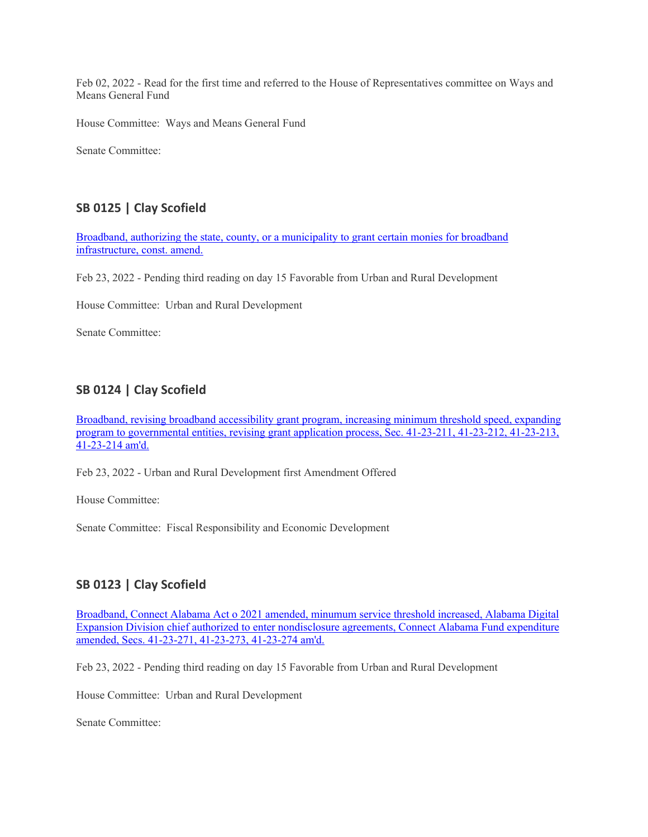Feb 02, 2022 - Read for the first time and referred to the House of Representatives committee on Ways and Means General Fund

House Committee: Ways and Means General Fund

Senate Committee:

# **SB 0125 | Clay Scofield**

[Broadband, authorizing the state, county, or a municipality to grant certain monies for broadband](https://url.emailprotection.link/?bJj0hBgw907L3ftWG3hdfVqqTUpB4l76MZa-tGns9rV0RYDP1oVfVkByIJr52nwF-1joiJ4Dak6m5civdF-bivsavvyjstd-0IPQ_J-dskg2xiDAr17Hodl08G5Uw1e7TWMbqfz5sB0kqyYIbJpLsw4gWlvtr5YwGYyEi05WimVoyw5KuW2LtKZ8WEs6eZ-AWe1UQHnP8CYy5J9RMX8M5G1k3UR9jfXm0tucNPoIYF0DM_I1TedOeQ6MwV0Oo4L-k8_XLTELloH2uIXMT2BY0zeePy4Z4hP9kXwINecoOBczqciB7qQYx55q6bxvO_867TtkUE6wv9HDZpHgNP_jPz7S9PKnAmEJEt741AthPlPiJ3M4s-tFErh7RjYNRIjXaz5AmOjiccjv4RV009GP1681WYXIJI6ywu0ge7i5WoDvdsJZBfLW4Cky6K64_GRiClp4zmD832wE5bjJ5cFlGVVNk8fWUio8vrEfLlEvjPpEIPGoifaqkXsJzEnuSwYNdSSI6ayyKH1StjojE4c_naEUyJgu0hxwVAv0cTAfpVSy7UB8pfwFi1Ptf_N74PUG3LV46JgzqJ_JlFniblEvn5eg0glsJrrqQYg0D2TSm3Av1h2wgL0up9fzUoBfqEDxD)  [infrastructure, const. amend.](https://url.emailprotection.link/?bJj0hBgw907L3ftWG3hdfVqqTUpB4l76MZa-tGns9rV0RYDP1oVfVkByIJr52nwF-1joiJ4Dak6m5civdF-bivsavvyjstd-0IPQ_J-dskg2xiDAr17Hodl08G5Uw1e7TWMbqfz5sB0kqyYIbJpLsw4gWlvtr5YwGYyEi05WimVoyw5KuW2LtKZ8WEs6eZ-AWe1UQHnP8CYy5J9RMX8M5G1k3UR9jfXm0tucNPoIYF0DM_I1TedOeQ6MwV0Oo4L-k8_XLTELloH2uIXMT2BY0zeePy4Z4hP9kXwINecoOBczqciB7qQYx55q6bxvO_867TtkUE6wv9HDZpHgNP_jPz7S9PKnAmEJEt741AthPlPiJ3M4s-tFErh7RjYNRIjXaz5AmOjiccjv4RV009GP1681WYXIJI6ywu0ge7i5WoDvdsJZBfLW4Cky6K64_GRiClp4zmD832wE5bjJ5cFlGVVNk8fWUio8vrEfLlEvjPpEIPGoifaqkXsJzEnuSwYNdSSI6ayyKH1StjojE4c_naEUyJgu0hxwVAv0cTAfpVSy7UB8pfwFi1Ptf_N74PUG3LV46JgzqJ_JlFniblEvn5eg0glsJrrqQYg0D2TSm3Av1h2wgL0up9fzUoBfqEDxD)

Feb 23, 2022 - Pending third reading on day 15 Favorable from Urban and Rural Development

House Committee: Urban and Rural Development

Senate Committee:

# **SB 0124 | Clay Scofield**

[Broadband, revising broadband accessibility grant program, increasing minimum threshold speed, expanding](https://url.emailprotection.link/?bC31rNu4Kv4ba2mHTIdrXODrEbn8A-Bg2eD8jZFKVG3Prhrw763Qw7tjosLp_dO0nyH2AnCzw_OTiXqDhnKmDM2kYh2K3x8aCkNeww9ujXBVTBRIVyf7iLp9MbfoARcGfJ3V9c1s44tm9hlyVpgJsC_YNqvBifRwkJh7MEUnQegNftRHRXJv_AQzHqwfE4j38r9onhSAhShBmGJ2iSgt369EQW_rjKMXOjEvD26Gq6VnNV9LpChibNd6NrAJRbKo4RJ_8kS3Ufp01BZpk0JWG-djSEZENbBNmiJTpCtLwUA-4ZUPdWuam9SE-_XO1jEhvTrt-imoft_O_kqeAE2W_uQy4IrTMQo7Qxh-oaJfsK0L0V1FCSWbDUShwwhfZjSvTEKFmLorVAvwKl3TPdLT0EgFkqytJDbDmvOVag-1qMemVGT47oAlZ_-ts3DU-azCyYxoWMS_jGWzjI41VgAQzYOz8orVz9zmrXxhcLa7RB6TiFH-jILaEPdUVe5D9aPGaQ-PeeHcHNtaSRvSg4v52CpRy1cuKGnVdTh6WtnYg9WvAk6tD_sCiiO8-z2ee-DS2wDWWPE7JpL_TFSAudbYHxqyHyeTWulCE4VJ-GmRujFPuSIEMBKSJuuftfkcxcDPb)  [program to governmental entities, revising grant application process, Sec. 41-23-211, 41-23-212, 41-23-213,](https://url.emailprotection.link/?bC31rNu4Kv4ba2mHTIdrXODrEbn8A-Bg2eD8jZFKVG3Prhrw763Qw7tjosLp_dO0nyH2AnCzw_OTiXqDhnKmDM2kYh2K3x8aCkNeww9ujXBVTBRIVyf7iLp9MbfoARcGfJ3V9c1s44tm9hlyVpgJsC_YNqvBifRwkJh7MEUnQegNftRHRXJv_AQzHqwfE4j38r9onhSAhShBmGJ2iSgt369EQW_rjKMXOjEvD26Gq6VnNV9LpChibNd6NrAJRbKo4RJ_8kS3Ufp01BZpk0JWG-djSEZENbBNmiJTpCtLwUA-4ZUPdWuam9SE-_XO1jEhvTrt-imoft_O_kqeAE2W_uQy4IrTMQo7Qxh-oaJfsK0L0V1FCSWbDUShwwhfZjSvTEKFmLorVAvwKl3TPdLT0EgFkqytJDbDmvOVag-1qMemVGT47oAlZ_-ts3DU-azCyYxoWMS_jGWzjI41VgAQzYOz8orVz9zmrXxhcLa7RB6TiFH-jILaEPdUVe5D9aPGaQ-PeeHcHNtaSRvSg4v52CpRy1cuKGnVdTh6WtnYg9WvAk6tD_sCiiO8-z2ee-DS2wDWWPE7JpL_TFSAudbYHxqyHyeTWulCE4VJ-GmRujFPuSIEMBKSJuuftfkcxcDPb)  [41-23-214 am'd.](https://url.emailprotection.link/?bC31rNu4Kv4ba2mHTIdrXODrEbn8A-Bg2eD8jZFKVG3Prhrw763Qw7tjosLp_dO0nyH2AnCzw_OTiXqDhnKmDM2kYh2K3x8aCkNeww9ujXBVTBRIVyf7iLp9MbfoARcGfJ3V9c1s44tm9hlyVpgJsC_YNqvBifRwkJh7MEUnQegNftRHRXJv_AQzHqwfE4j38r9onhSAhShBmGJ2iSgt369EQW_rjKMXOjEvD26Gq6VnNV9LpChibNd6NrAJRbKo4RJ_8kS3Ufp01BZpk0JWG-djSEZENbBNmiJTpCtLwUA-4ZUPdWuam9SE-_XO1jEhvTrt-imoft_O_kqeAE2W_uQy4IrTMQo7Qxh-oaJfsK0L0V1FCSWbDUShwwhfZjSvTEKFmLorVAvwKl3TPdLT0EgFkqytJDbDmvOVag-1qMemVGT47oAlZ_-ts3DU-azCyYxoWMS_jGWzjI41VgAQzYOz8orVz9zmrXxhcLa7RB6TiFH-jILaEPdUVe5D9aPGaQ-PeeHcHNtaSRvSg4v52CpRy1cuKGnVdTh6WtnYg9WvAk6tD_sCiiO8-z2ee-DS2wDWWPE7JpL_TFSAudbYHxqyHyeTWulCE4VJ-GmRujFPuSIEMBKSJuuftfkcxcDPb)

Feb 23, 2022 - Urban and Rural Development first Amendment Offered

House Committee:

Senate Committee: Fiscal Responsibility and Economic Development

## **SB 0123 | Clay Scofield**

[Broadband, Connect Alabama Act o 2021 amended, minumum service threshold increased, Alabama Digital](https://url.emailprotection.link/?bXivnax_6ju-a8JbtJxBRY7jjMA35HbnhGiB4LM1UEwd1b-j5RhCnAVKwEopt617ozBa5A3SDnWfLgFzenaZTZgVYG42E3uDgUFOiVnwRIH6BDXvA0BIOWdNdnPChe0GpEDPV3M0t9FJY_N9xBz9JSglq2HWBP3W0kl5x2FSGYoXYw_1TbyAczGNFpisJUtmLYArlYLZdMLJpj5sk49GUQAOMOUNsiW1zavmAclf9vMysAp_C5_j_Y6sFZ3e15WOtLmqXfG-pNRlJ2V-jM5sgxUiQqd2NpGXG1XCJRcwLZIrNn0FGlLz6jBmfGOLS44qNaODO9H_u0sjZAibJPhNrCoXvb0hGjXA9xUj1bV_eS92MC08dmrYwxQxsmHuUFOj7EKymA86Kvp8KiVJiTX-ufu5DMcd_IKVONajf76qIyd0Qyas0uKEupU0xzOyhDmSOlHUPXXk_x4WJcRD_QmL7eTIbDGTYA2vjgIVybavKG8GSuseq8m5gc7mEu-kHlNNZjp2plY5JzOzaJYco0WCBoPytncmv8GkURQbERiayqsFPBwMHuOz_4MWh5y0Ohy9oWSDrRm0Qt8qPUdGGkuKa-cRJsT4IIKKGuqm40xapXwGpVOhs7NPBufxHGdW7q6Py)  [Expansion Division chief authorized to enter nondisclosure agreements, Connect Alabama Fund expenditure](https://url.emailprotection.link/?bXivnax_6ju-a8JbtJxBRY7jjMA35HbnhGiB4LM1UEwd1b-j5RhCnAVKwEopt617ozBa5A3SDnWfLgFzenaZTZgVYG42E3uDgUFOiVnwRIH6BDXvA0BIOWdNdnPChe0GpEDPV3M0t9FJY_N9xBz9JSglq2HWBP3W0kl5x2FSGYoXYw_1TbyAczGNFpisJUtmLYArlYLZdMLJpj5sk49GUQAOMOUNsiW1zavmAclf9vMysAp_C5_j_Y6sFZ3e15WOtLmqXfG-pNRlJ2V-jM5sgxUiQqd2NpGXG1XCJRcwLZIrNn0FGlLz6jBmfGOLS44qNaODO9H_u0sjZAibJPhNrCoXvb0hGjXA9xUj1bV_eS92MC08dmrYwxQxsmHuUFOj7EKymA86Kvp8KiVJiTX-ufu5DMcd_IKVONajf76qIyd0Qyas0uKEupU0xzOyhDmSOlHUPXXk_x4WJcRD_QmL7eTIbDGTYA2vjgIVybavKG8GSuseq8m5gc7mEu-kHlNNZjp2plY5JzOzaJYco0WCBoPytncmv8GkURQbERiayqsFPBwMHuOz_4MWh5y0Ohy9oWSDrRm0Qt8qPUdGGkuKa-cRJsT4IIKKGuqm40xapXwGpVOhs7NPBufxHGdW7q6Py)  [amended, Secs. 41-23-271, 41-23-273, 41-23-274 am'd.](https://url.emailprotection.link/?bXivnax_6ju-a8JbtJxBRY7jjMA35HbnhGiB4LM1UEwd1b-j5RhCnAVKwEopt617ozBa5A3SDnWfLgFzenaZTZgVYG42E3uDgUFOiVnwRIH6BDXvA0BIOWdNdnPChe0GpEDPV3M0t9FJY_N9xBz9JSglq2HWBP3W0kl5x2FSGYoXYw_1TbyAczGNFpisJUtmLYArlYLZdMLJpj5sk49GUQAOMOUNsiW1zavmAclf9vMysAp_C5_j_Y6sFZ3e15WOtLmqXfG-pNRlJ2V-jM5sgxUiQqd2NpGXG1XCJRcwLZIrNn0FGlLz6jBmfGOLS44qNaODO9H_u0sjZAibJPhNrCoXvb0hGjXA9xUj1bV_eS92MC08dmrYwxQxsmHuUFOj7EKymA86Kvp8KiVJiTX-ufu5DMcd_IKVONajf76qIyd0Qyas0uKEupU0xzOyhDmSOlHUPXXk_x4WJcRD_QmL7eTIbDGTYA2vjgIVybavKG8GSuseq8m5gc7mEu-kHlNNZjp2plY5JzOzaJYco0WCBoPytncmv8GkURQbERiayqsFPBwMHuOz_4MWh5y0Ohy9oWSDrRm0Qt8qPUdGGkuKa-cRJsT4IIKKGuqm40xapXwGpVOhs7NPBufxHGdW7q6Py)

Feb 23, 2022 - Pending third reading on day 15 Favorable from Urban and Rural Development

House Committee: Urban and Rural Development

Senate Committee: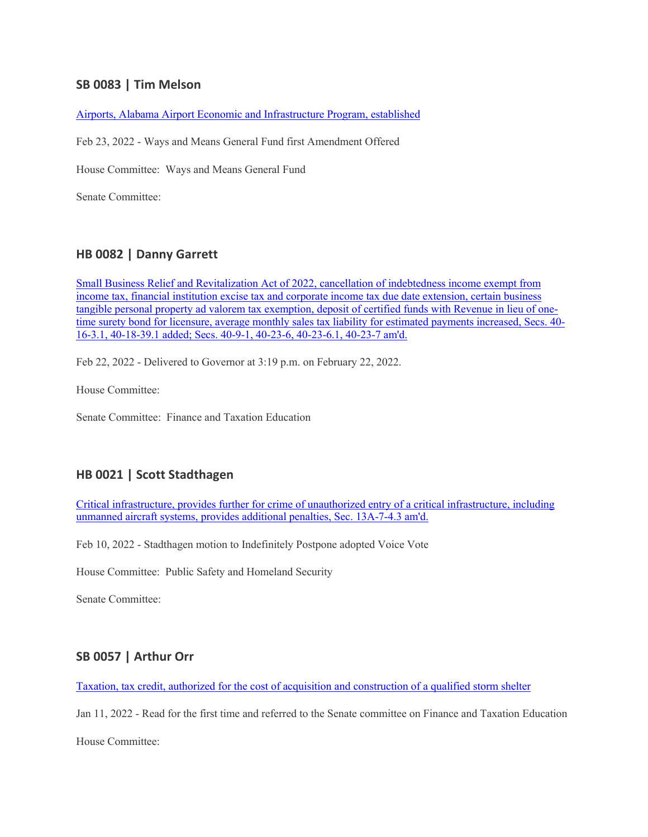## **SB 0083 | Tim Melson**

[Airports, Alabama Airport Economic and Infrastructure Program, established](https://url.emailprotection.link/?bKQRj5KN6EW-PWsCz8MTOc7njNGR9HB-zgLDQTQpT_yud6yk7iPT_RAJYjnSNV2csb0zaA-NIHIKFjpDyyO_YmnfRA2NymSki1wLC_W1RNOjvjtGhdeybRhvNaam63ORwyEIvhoCHV6_NzzIkyLKQvVb8Ds9ktm4Kd4RptCzfKOCiJDEG7tX4xEKXYPlctusTbWtpay39FT3fObBSjDv6teXKhwykVt8EyaMB2_6D_Ko988NXn-_-HF0-r1dQxTYhg76jvFHHa7BAlPku5_T54JKFpeovRwZGWnmroygFFaWm31hp53M5v9s6A4lG_zThiyYOwa68fHDSk7Nhn0H_2qYrvm5fq-s0lcDe1sCHT5m0hKbiV9VxPr9EYEBGVKiPphuG8EBw8BY8Ro09G6Sk57MEAEzkLxwyJkmVotr3_Go8qdMCK--1e4Yerf--OTQXmwdTAxtHft0vzfQE8RkWwSostVpMFzG9j5CRhTCCouKCRBHvi9Ylpz24kmWM61caxcbuoya_7Gxmi8fDx1RWtbW2s7L2B6aOgWs7FUHeRfS_L9SV79eBTGVbrm2OxWNs3G2NRyxI_rrdlRRSYSnn6JyWbmS-jeHlpiysDFcKP_Jo_Xy8kNGKzSRJvYo1nmxX)

Feb 23, 2022 - Ways and Means General Fund first Amendment Offered

House Committee: Ways and Means General Fund

Senate Committee:

### **HB 0082 | Danny Garrett**

[Small Business Relief and Revitalization Act of 2022, cancellation of indebtedness income exempt from](https://url.emailprotection.link/?bXg65P_ogCWXogR7gdJcAaizSRNM0nsmB3daRvpWZciiqrGQIuiDKy0M0BA-GCMZJQUQyoPqpboexx7TKrHtvylLfsc_QV-_C5BfB9RygCDDxnKih1PwOGGciontLMGrTV7AUShey_i3wZQL8uPThEmoEP1io85bVQtxKxy9nHboM8i0mFFD1zLttpKJmQrMcZSzPM9Ls5AX8aP_CSeaVg7REi1_cah4i62-NPr7apgsiD1UWAIX3ewveIaiqiXHFZulQS_kpOf26leDHCN0GxNr3ECl-9GpMlXO2tMxvNbfOgsJ5JawwGEFZS35TlPK3JpOFXgqFLvTSeCcQVMkyhwKg0vF3OakbRymRM3HBQwr5j5eZiDlnRjdORc5m9WtPXWmCJG6_GqyyVwzq1D1WZHUMn3qd8dg_9UCz6Gjks-v0CFmy13dHP9atPwAb7n9N6MSVAVEZR53FR2iBW9f_rFnvzML6Z2VXtvgvjwWv-PTqkdjEbwF3Z14TyKU_DVsmYGsemGXt3HSmCFlC8EA1e1ta1FPJXkFB1-PtIJiuT7Dk-lSnpdJRG_SQ0LL4lfhg7pDFmGaJixt7nDuHf8cSMk87vrBzZPnBRM8c1qrZQluAMPIh3nndCGrzAwEwBYBD)  [income tax, financial institution excise tax and corporate income tax due date extension, certain business](https://url.emailprotection.link/?bXg65P_ogCWXogR7gdJcAaizSRNM0nsmB3daRvpWZciiqrGQIuiDKy0M0BA-GCMZJQUQyoPqpboexx7TKrHtvylLfsc_QV-_C5BfB9RygCDDxnKih1PwOGGciontLMGrTV7AUShey_i3wZQL8uPThEmoEP1io85bVQtxKxy9nHboM8i0mFFD1zLttpKJmQrMcZSzPM9Ls5AX8aP_CSeaVg7REi1_cah4i62-NPr7apgsiD1UWAIX3ewveIaiqiXHFZulQS_kpOf26leDHCN0GxNr3ECl-9GpMlXO2tMxvNbfOgsJ5JawwGEFZS35TlPK3JpOFXgqFLvTSeCcQVMkyhwKg0vF3OakbRymRM3HBQwr5j5eZiDlnRjdORc5m9WtPXWmCJG6_GqyyVwzq1D1WZHUMn3qd8dg_9UCz6Gjks-v0CFmy13dHP9atPwAb7n9N6MSVAVEZR53FR2iBW9f_rFnvzML6Z2VXtvgvjwWv-PTqkdjEbwF3Z14TyKU_DVsmYGsemGXt3HSmCFlC8EA1e1ta1FPJXkFB1-PtIJiuT7Dk-lSnpdJRG_SQ0LL4lfhg7pDFmGaJixt7nDuHf8cSMk87vrBzZPnBRM8c1qrZQluAMPIh3nndCGrzAwEwBYBD)  [tangible personal property ad valorem tax exemption, deposit of certified funds with Revenue in lieu of one](https://url.emailprotection.link/?bXg65P_ogCWXogR7gdJcAaizSRNM0nsmB3daRvpWZciiqrGQIuiDKy0M0BA-GCMZJQUQyoPqpboexx7TKrHtvylLfsc_QV-_C5BfB9RygCDDxnKih1PwOGGciontLMGrTV7AUShey_i3wZQL8uPThEmoEP1io85bVQtxKxy9nHboM8i0mFFD1zLttpKJmQrMcZSzPM9Ls5AX8aP_CSeaVg7REi1_cah4i62-NPr7apgsiD1UWAIX3ewveIaiqiXHFZulQS_kpOf26leDHCN0GxNr3ECl-9GpMlXO2tMxvNbfOgsJ5JawwGEFZS35TlPK3JpOFXgqFLvTSeCcQVMkyhwKg0vF3OakbRymRM3HBQwr5j5eZiDlnRjdORc5m9WtPXWmCJG6_GqyyVwzq1D1WZHUMn3qd8dg_9UCz6Gjks-v0CFmy13dHP9atPwAb7n9N6MSVAVEZR53FR2iBW9f_rFnvzML6Z2VXtvgvjwWv-PTqkdjEbwF3Z14TyKU_DVsmYGsemGXt3HSmCFlC8EA1e1ta1FPJXkFB1-PtIJiuT7Dk-lSnpdJRG_SQ0LL4lfhg7pDFmGaJixt7nDuHf8cSMk87vrBzZPnBRM8c1qrZQluAMPIh3nndCGrzAwEwBYBD)[time surety bond for licensure, average monthly sales tax liability for estimated payments increased, Secs. 40-](https://url.emailprotection.link/?bXg65P_ogCWXogR7gdJcAaizSRNM0nsmB3daRvpWZciiqrGQIuiDKy0M0BA-GCMZJQUQyoPqpboexx7TKrHtvylLfsc_QV-_C5BfB9RygCDDxnKih1PwOGGciontLMGrTV7AUShey_i3wZQL8uPThEmoEP1io85bVQtxKxy9nHboM8i0mFFD1zLttpKJmQrMcZSzPM9Ls5AX8aP_CSeaVg7REi1_cah4i62-NPr7apgsiD1UWAIX3ewveIaiqiXHFZulQS_kpOf26leDHCN0GxNr3ECl-9GpMlXO2tMxvNbfOgsJ5JawwGEFZS35TlPK3JpOFXgqFLvTSeCcQVMkyhwKg0vF3OakbRymRM3HBQwr5j5eZiDlnRjdORc5m9WtPXWmCJG6_GqyyVwzq1D1WZHUMn3qd8dg_9UCz6Gjks-v0CFmy13dHP9atPwAb7n9N6MSVAVEZR53FR2iBW9f_rFnvzML6Z2VXtvgvjwWv-PTqkdjEbwF3Z14TyKU_DVsmYGsemGXt3HSmCFlC8EA1e1ta1FPJXkFB1-PtIJiuT7Dk-lSnpdJRG_SQ0LL4lfhg7pDFmGaJixt7nDuHf8cSMk87vrBzZPnBRM8c1qrZQluAMPIh3nndCGrzAwEwBYBD) [16-3.1, 40-18-39.1 added; Secs. 40-9-1, 40-23-6, 40-23-6.1, 40-23-7 am'd.](https://url.emailprotection.link/?bXg65P_ogCWXogR7gdJcAaizSRNM0nsmB3daRvpWZciiqrGQIuiDKy0M0BA-GCMZJQUQyoPqpboexx7TKrHtvylLfsc_QV-_C5BfB9RygCDDxnKih1PwOGGciontLMGrTV7AUShey_i3wZQL8uPThEmoEP1io85bVQtxKxy9nHboM8i0mFFD1zLttpKJmQrMcZSzPM9Ls5AX8aP_CSeaVg7REi1_cah4i62-NPr7apgsiD1UWAIX3ewveIaiqiXHFZulQS_kpOf26leDHCN0GxNr3ECl-9GpMlXO2tMxvNbfOgsJ5JawwGEFZS35TlPK3JpOFXgqFLvTSeCcQVMkyhwKg0vF3OakbRymRM3HBQwr5j5eZiDlnRjdORc5m9WtPXWmCJG6_GqyyVwzq1D1WZHUMn3qd8dg_9UCz6Gjks-v0CFmy13dHP9atPwAb7n9N6MSVAVEZR53FR2iBW9f_rFnvzML6Z2VXtvgvjwWv-PTqkdjEbwF3Z14TyKU_DVsmYGsemGXt3HSmCFlC8EA1e1ta1FPJXkFB1-PtIJiuT7Dk-lSnpdJRG_SQ0LL4lfhg7pDFmGaJixt7nDuHf8cSMk87vrBzZPnBRM8c1qrZQluAMPIh3nndCGrzAwEwBYBD)

Feb 22, 2022 - Delivered to Governor at 3:19 p.m. on February 22, 2022.

House Committee:

Senate Committee: Finance and Taxation Education

#### **HB 0021 | Scott Stadthagen**

[Critical infrastructure, provides further for crime of unauthorized entry of a critical infrastructure, including](https://url.emailprotection.link/?bUGt33dXVCP86mZo0Y18H0XwjW31xwIVEm0U0lyFQbxTgtfLUh-8-E7KRenD7JSF3k2LSj3pCCBE3Y4-RDKixsub3AS5Y3rlKq0dHZN_Terh0_NZ0AZ93hr18vUm104UlXBZqdUpvzSiczgCPaYIf5JDxfR-9GmoOk1-LPhNIy-HRfEI13eEDZqh_0VHr6BaS2h5DU3n4VNHAB5nWXAhJ8tw55q1uW4_MoZ8yVHnUwAsRlMXINjh1Wh1XfLgi4vC8XhPAQNWlPxqJaVudJUOcmZn7tHzvB9h4olT9Sg3Yqq9s_FeCYx-UyBJbPkmb5qIqnC8fuiDcNk7hXDd7WLMf-8somgfBHhHPdxCglP8I6gaWpBFC00T9pkdLzfh4WKA25y9Q0bHd4he3bTe2nfDClgfW7LEtqbkQpaEtkq7hmi_JHP9Qc6B8kGSPlQvZ-9XNbQdIZ1dEJRWK1NNZQQJRNKn6c5-2WnsO7_L9xT6yoZaVlZjGBycJc76A0cH4fHqbmsZO_8kHkopbigQEbeyjomDV6zK0XgBUXQicMsoWGVHBE-u9FGhjyfcD5DCmn2WSQ_qvhvxLk_50HU1ew4xr0ULelWkW8SPzdqtqLhJJ0BlImWtgikLri_IYsHsqbhpU)  [unmanned aircraft systems, provides additional penalties, Sec. 13A-7-4.3 am'd.](https://url.emailprotection.link/?bUGt33dXVCP86mZo0Y18H0XwjW31xwIVEm0U0lyFQbxTgtfLUh-8-E7KRenD7JSF3k2LSj3pCCBE3Y4-RDKixsub3AS5Y3rlKq0dHZN_Terh0_NZ0AZ93hr18vUm104UlXBZqdUpvzSiczgCPaYIf5JDxfR-9GmoOk1-LPhNIy-HRfEI13eEDZqh_0VHr6BaS2h5DU3n4VNHAB5nWXAhJ8tw55q1uW4_MoZ8yVHnUwAsRlMXINjh1Wh1XfLgi4vC8XhPAQNWlPxqJaVudJUOcmZn7tHzvB9h4olT9Sg3Yqq9s_FeCYx-UyBJbPkmb5qIqnC8fuiDcNk7hXDd7WLMf-8somgfBHhHPdxCglP8I6gaWpBFC00T9pkdLzfh4WKA25y9Q0bHd4he3bTe2nfDClgfW7LEtqbkQpaEtkq7hmi_JHP9Qc6B8kGSPlQvZ-9XNbQdIZ1dEJRWK1NNZQQJRNKn6c5-2WnsO7_L9xT6yoZaVlZjGBycJc76A0cH4fHqbmsZO_8kHkopbigQEbeyjomDV6zK0XgBUXQicMsoWGVHBE-u9FGhjyfcD5DCmn2WSQ_qvhvxLk_50HU1ew4xr0ULelWkW8SPzdqtqLhJJ0BlImWtgikLri_IYsHsqbhpU)

Feb 10, 2022 - Stadthagen motion to Indefinitely Postpone adopted Voice Vote

House Committee: Public Safety and Homeland Security

Senate Committee:

#### **SB 0057 | Arthur Orr**

[Taxation, tax credit, authorized for the cost of acquisition and construction of a qualified storm shelter](https://url.emailprotection.link/?bYYo5JzFDo_IumRVdIwtyGIW6cS_tDdWMWMJ_KYdIAgw30jgQ8Nb1nKrSy1L4-w3LGWSSZBwFyOT9bFXIZxA6xzcHXCzGfhDlvvLVNIg75hMvx7VakZ0wpiJVDJ1pGgqWfHml_Ga-p3YBvNYyOVzSrW6lZhB15QeIZqUdMZr8rrgVmr6_EDsuwerJqCU-9shgvvceyZXCSRDjcg9IJywijWfr9S7WJpHKAfrvpY_ekMQrdJHf9MDEBvLIGj5NXe0Y8UyPDkcHcJV4eAr9eqpFe0b5nqTwscJKjQ2wq05lH2oXPT8a6zBI9SSylHmSERvQTSic0wbJnlJ5lk7ttb7U7xPsL3EKUQvdz_UDWTcOgI3BsJGG-7nRho7aLrFvZjdPmDSfK_w1C7yHTynOMoS5ajWoSL-JP2cVTMd5lmnJOAeUjdBfZJLuBkBfOgNYuOJJp_vJRtyGVI6Ii1m7hoWU_J6Bf9nxSw_OwGboUD4HwMJHlmwGQRWbZUDnUVU9eQUGzF_SH0vZy1qDrFc0nVQrdkBNxW1311n-Zl7FP6773ml4xg2i90oYzy7K5QhePe-Jzrn5zEcV6uL49dFTrR1jioSKRg92Nzx7iof1y2eqj8wbIWz5ykPMzfSjhOgNm4_x)

Jan 11, 2022 - Read for the first time and referred to the Senate committee on Finance and Taxation Education

House Committee: